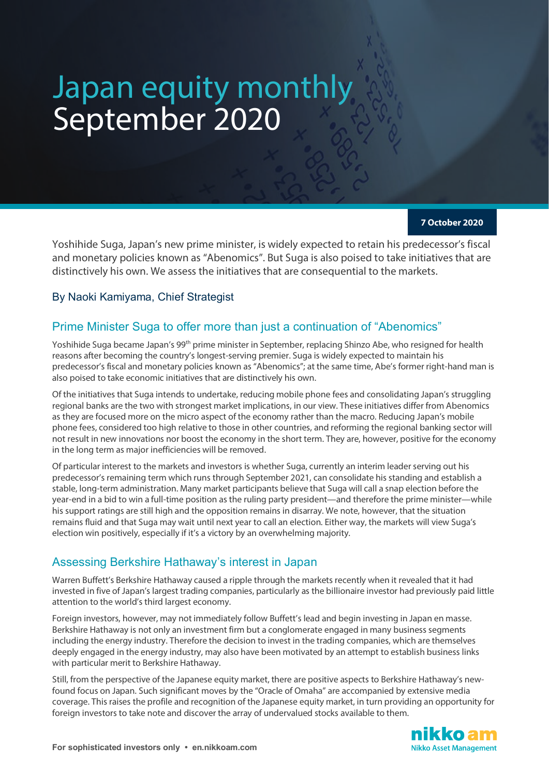# Japan equity monthly September 2020

**7 October 2020**

Yoshihide Suga, Japan's new prime minister, is widely expected to retain his predecessor's fiscal and monetary policies known as "Abenomics". But Suga is also poised to take initiatives that are distinctively his own. We assess the initiatives that are consequential to the markets.

### By Naoki Kamiyama, Chief Strategist

## Prime Minister Suga to offer more than just a continuation of "Abenomics"

Yoshihide Suga became Japan's 99<sup>th</sup> prime minister in September, replacing Shinzo Abe, who resigned for health reasons after becoming the country's longest-serving premier. Suga is widely expected to maintain his predecessor's fiscal and monetary policies known as "Abenomics"; at the same time, Abe's former right-hand man is also poised to take economic initiatives that are distinctively his own.

Of the initiatives that Suga intends to undertake, reducing mobile phone fees and consolidating Japan's struggling regional banks are the two with strongest market implications, in our view. These initiatives differ from Abenomics as they are focused more on the micro aspect of the economy rather than the macro. Reducing Japan's mobile phone fees, considered too high relative to those in other countries, and reforming the regional banking sector will not result in new innovations nor boost the economy in the short term. They are, however, positive for the economy in the long term as major inefficiencies will be removed.

Of particular interest to the markets and investors is whether Suga, currently an interim leader serving out his predecessor's remaining term which runs through September 2021, can consolidate his standing and establish a stable, long-term administration. Many market participants believe that Suga will call a snap election before the year-end in a bid to win a full-time position as the ruling party president—and therefore the prime minister—while his support ratings are still high and the opposition remains in disarray. We note, however, that the situation remains fluid and that Suga may wait until next year to call an election. Either way, the markets will view Suga's election win positively, especially if it's a victory by an overwhelming majority.

## Assessing Berkshire Hathaway's interest in Japan

Warren Buffett's Berkshire Hathaway caused a ripple through the markets recently when it revealed that it had invested in five of Japan's largest trading companies, particularly as the billionaire investor had previously paid little attention to the world's third largest economy.

Foreign investors, however, may not immediately follow Buffett's lead and begin investing in Japan en masse. Berkshire Hathaway is not only an investment firm but a conglomerate engaged in many business segments including the energy industry. Therefore the decision to invest in the trading companies, which are themselves deeply engaged in the energy industry, may also have been motivated by an attempt to establish business links with particular merit to Berkshire Hathaway.

Still, from the perspective of the Japanese equity market, there are positive aspects to Berkshire Hathaway's newfound focus on Japan. Such significant moves by the "Oracle of Omaha" are accompanied by extensive media coverage. This raises the profile and recognition of the Japanese equity market, in turn providing an opportunity for foreign investors to take note and discover the array of undervalued stocks available to them.

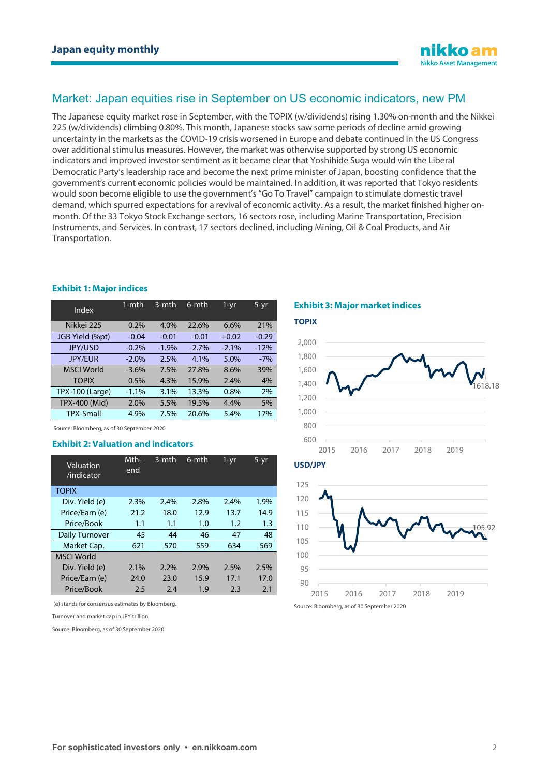## Market: Japan equities rise in September on US economic indicators, new PM

The Japanese equity market rose in September, with the TOPIX (w/dividends) rising 1.30% on-month and the Nikkei 225 (w/dividends) climbing 0.80%. This month, Japanese stocks saw some periods of decline amid growing uncertainty in the markets as the COVID-19 crisis worsened in Europe and debate continued in the US Congress over additional stimulus measures. However, the market was otherwise supported by strong US economic indicators and improved investor sentiment as it became clear that Yoshihide Suga would win the Liberal Democratic Party's leadership race and become the next prime minister of Japan, boosting confidence that the government's current economic policies would be maintained. In addition, it was reported that Tokyo residents would soon become eligible to use the government's "Go To Travel" campaign to stimulate domestic travel demand, which spurred expectations for a revival of economic activity. As a result, the market finished higher onmonth. Of the 33 Tokyo Stock Exchange sectors, 16 sectors rose, including Marine Transportation, Precision Instruments, and Services. In contrast, 17 sectors declined, including Mining, Oil & Coal Products, and Air Transportation.

| Index                  | 1-mth   | 3-mth   | $6$ -mth | $1 - yr$ | 5-yr    |
|------------------------|---------|---------|----------|----------|---------|
| Nikkei 225             | 0.2%    | 4.0%    | 22.6%    | 6.6%     | 21%     |
| JGB Yield (%pt)        | $-0.04$ | $-0.01$ | $-0.01$  | $+0.02$  | $-0.29$ |
| <b>JPY/USD</b>         | $-0.2%$ | $-1.9%$ | $-2.7%$  | $-2.1%$  | $-12%$  |
| <b>JPY/EUR</b>         | $-2.0%$ | 2.5%    | 4.1%     | 5.0%     | $-7%$   |
| <b>MSCI World</b>      | $-3.6%$ | 7.5%    | 27.8%    | 8.6%     | 39%     |
| <b>TOPIX</b>           | 0.5%    | 4.3%    | 15.9%    | 2.4%     | 4%      |
| <b>TPX-100 (Large)</b> | $-1.1%$ | 3.1%    | 13.3%    | 0.8%     | 2%      |
| <b>TPX-400 (Mid)</b>   | 2.0%    | 5.5%    | 19.5%    | 4.4%     | 5%      |
| <b>TPX-Small</b>       | 4.9%    | 7.5%    | 20.6%    | 5.4%     | 17%     |

#### **Exhibit 1: Major indices**

Source: Bloomberg, as of 30 September 2020

#### **Exhibit 2: Valuation and indicators**

| Valuation<br>/indicator | Mth-<br>end | 3-mth | $6$ -mth | $1 - yr$ | 5-yr |
|-------------------------|-------------|-------|----------|----------|------|
| <b>TOPIX</b>            |             |       |          |          |      |
| Div. Yield (e)          | 2.3%        | 2.4%  | 2.8%     | 2.4%     | 1.9% |
| Price/Earn (e)          | 21.2        | 18.0  | 12.9     | 13.7     | 14.9 |
| Price/Book              | 1.1         | 1.1   | 1.0      | 1.2      | 1.3  |
| <b>Daily Turnover</b>   | 45          | 44    | 46       | 47       | 48   |
| Market Cap.             | 621         | 570   | 559      | 634      | 569  |
| <b>MSCI World</b>       |             |       |          |          |      |
| Div. Yield (e)          | 2.1%        | 2.2%  | 2.9%     | 2.5%     | 2.5% |
| Price/Earn (e)          | 24.0        | 23.0  | 15.9     | 17.1     | 17.0 |
| Price/Book              | 2.5         | 2.4   | 1.9      | 2.3      | 2.1  |

(e) stands for consensus estimates by Bloomberg.

Turnover and market cap in JPY trillion.

Source: Bloomberg, as of 30 September 2020

#### **Exhibit 3: Major market indices**

**TOPIX**





Source: Bloomberg, as of 30 September 2020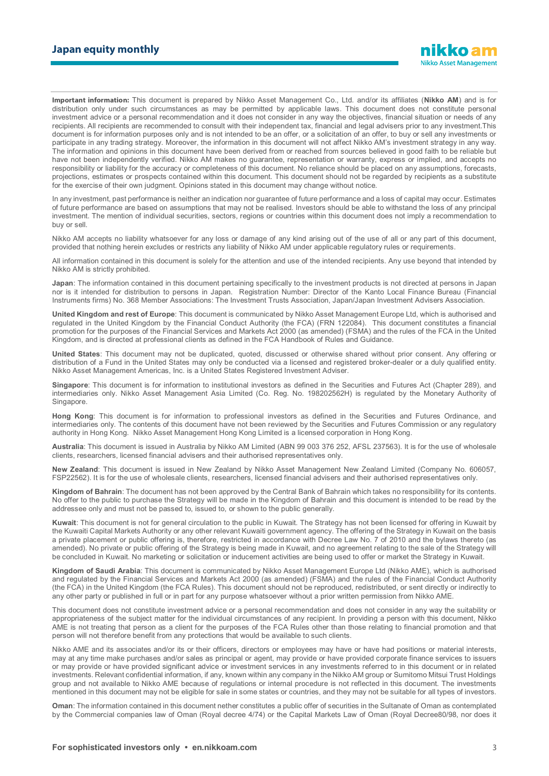**Important information:** This document is prepared by Nikko Asset Management Co., Ltd. and/or its affiliates (**Nikko AM**) and is for distribution only under such circumstances as may be permitted by applicable laws. This document does not constitute personal investment advice or a personal recommendation and it does not consider in any way the objectives, financial situation or needs of any recipients. All recipients are recommended to consult with their independent tax, financial and legal advisers prior to any investment.This document is for information purposes only and is not intended to be an offer, or a solicitation of an offer, to buy or sell any investments or participate in any trading strategy. Moreover, the information in this document will not affect Nikko AM's investment strategy in any way. The information and opinions in this document have been derived from or reached from sources believed in good faith to be reliable but have not been independently verified. Nikko AM makes no guarantee, representation or warranty, express or implied, and accepts no responsibility or liability for the accuracy or completeness of this document. No reliance should be placed on any assumptions, forecasts, projections, estimates or prospects contained within this document. This document should not be regarded by recipients as a substitute for the exercise of their own judgment. Opinions stated in this document may change without notice.

In any investment, past performance is neither an indication nor guarantee of future performance and a loss of capital may occur. Estimates of future performance are based on assumptions that may not be realised. Investors should be able to withstand the loss of any principal investment. The mention of individual securities, sectors, regions or countries within this document does not imply a recommendation to buy or sell.

Nikko AM accepts no liability whatsoever for any loss or damage of any kind arising out of the use of all or any part of this document, provided that nothing herein excludes or restricts any liability of Nikko AM under applicable regulatory rules or requirements.

All information contained in this document is solely for the attention and use of the intended recipients. Any use beyond that intended by Nikko AM is strictly prohibited.

**Japan**: The information contained in this document pertaining specifically to the investment products is not directed at persons in Japan nor is it intended for distribution to persons in Japan. Registration Number: Director of the Kanto Local Finance Bureau (Financial Instruments firms) No. 368 Member Associations: The Investment Trusts Association, Japan/Japan Investment Advisers Association.

**United Kingdom and rest of Europe**: This document is communicated by Nikko Asset Management Europe Ltd, which is authorised and regulated in the United Kingdom by the Financial Conduct Authority (the FCA) (FRN 122084). This document constitutes a financial promotion for the purposes of the Financial Services and Markets Act 2000 (as amended) (FSMA) and the rules of the FCA in the United Kingdom, and is directed at professional clients as defined in the FCA Handbook of Rules and Guidance.

**United States**: This document may not be duplicated, quoted, discussed or otherwise shared without prior consent. Any offering or distribution of a Fund in the United States may only be conducted via a licensed and registered broker-dealer or a duly qualified entity. Nikko Asset Management Americas, Inc. is a United States Registered Investment Adviser.

**Singapore**: This document is for information to institutional investors as defined in the Securities and Futures Act (Chapter 289), and intermediaries only. Nikko Asset Management Asia Limited (Co. Reg. No. 198202562H) is regulated by the Monetary Authority of **Singapore** 

**Hong Kong**: This document is for information to professional investors as defined in the Securities and Futures Ordinance, and intermediaries only. The contents of this document have not been reviewed by the Securities and Futures Commission or any regulatory authority in Hong Kong. Nikko Asset Management Hong Kong Limited is a licensed corporation in Hong Kong.

**Australia**: This document is issued in Australia by Nikko AM Limited (ABN 99 003 376 252, AFSL 237563). It is for the use of wholesale clients, researchers, licensed financial advisers and their authorised representatives only.

**New Zealand**: This document is issued in New Zealand by Nikko Asset Management New Zealand Limited (Company No. 606057, FSP22562). It is for the use of wholesale clients, researchers, licensed financial advisers and their authorised representatives only.

**Kingdom of Bahrain**: The document has not been approved by the Central Bank of Bahrain which takes no responsibility for its contents. No offer to the public to purchase the Strategy will be made in the Kingdom of Bahrain and this document is intended to be read by the addressee only and must not be passed to, issued to, or shown to the public generally.

**Kuwait**: This document is not for general circulation to the public in Kuwait. The Strategy has not been licensed for offering in Kuwait by the Kuwaiti Capital Markets Authority or any other relevant Kuwaiti government agency. The offering of the Strategy in Kuwait on the basis a private placement or public offering is, therefore, restricted in accordance with Decree Law No. 7 of 2010 and the bylaws thereto (as amended). No private or public offering of the Strategy is being made in Kuwait, and no agreement relating to the sale of the Strategy will be concluded in Kuwait. No marketing or solicitation or inducement activities are being used to offer or market the Strategy in Kuwait.

**Kingdom of Saudi Arabia**: This document is communicated by Nikko Asset Management Europe Ltd (Nikko AME), which is authorised and regulated by the Financial Services and Markets Act 2000 (as amended) (FSMA) and the rules of the Financial Conduct Authority (the FCA) in the United Kingdom (the FCA Rules). This document should not be reproduced, redistributed, or sent directly or indirectly to any other party or published in full or in part for any purpose whatsoever without a prior written permission from Nikko AME.

This document does not constitute investment advice or a personal recommendation and does not consider in any way the suitability or appropriateness of the subject matter for the individual circumstances of any recipient. In providing a person with this document, Nikko AME is not treating that person as a client for the purposes of the FCA Rules other than those relating to financial promotion and that person will not therefore benefit from any protections that would be available to such clients.

Nikko AME and its associates and/or its or their officers, directors or employees may have or have had positions or material interests, may at any time make purchases and/or sales as principal or agent, may provide or have provided corporate finance services to issuers or may provide or have provided significant advice or investment services in any investments referred to in this document or in related investments. Relevant confidential information, if any, known within any company in the Nikko AM group or Sumitomo Mitsui Trust Holdings group and not available to Nikko AME because of regulations or internal procedure is not reflected in this document. The investments mentioned in this document may not be eligible for sale in some states or countries, and they may not be suitable for all types of investors.

**Oman**: The information contained in this document nether constitutes a public offer of securities in the Sultanate of Oman as contemplated by the Commercial companies law of Oman (Royal decree 4/74) or the Capital Markets Law of Oman (Royal Decree80/98, nor does it